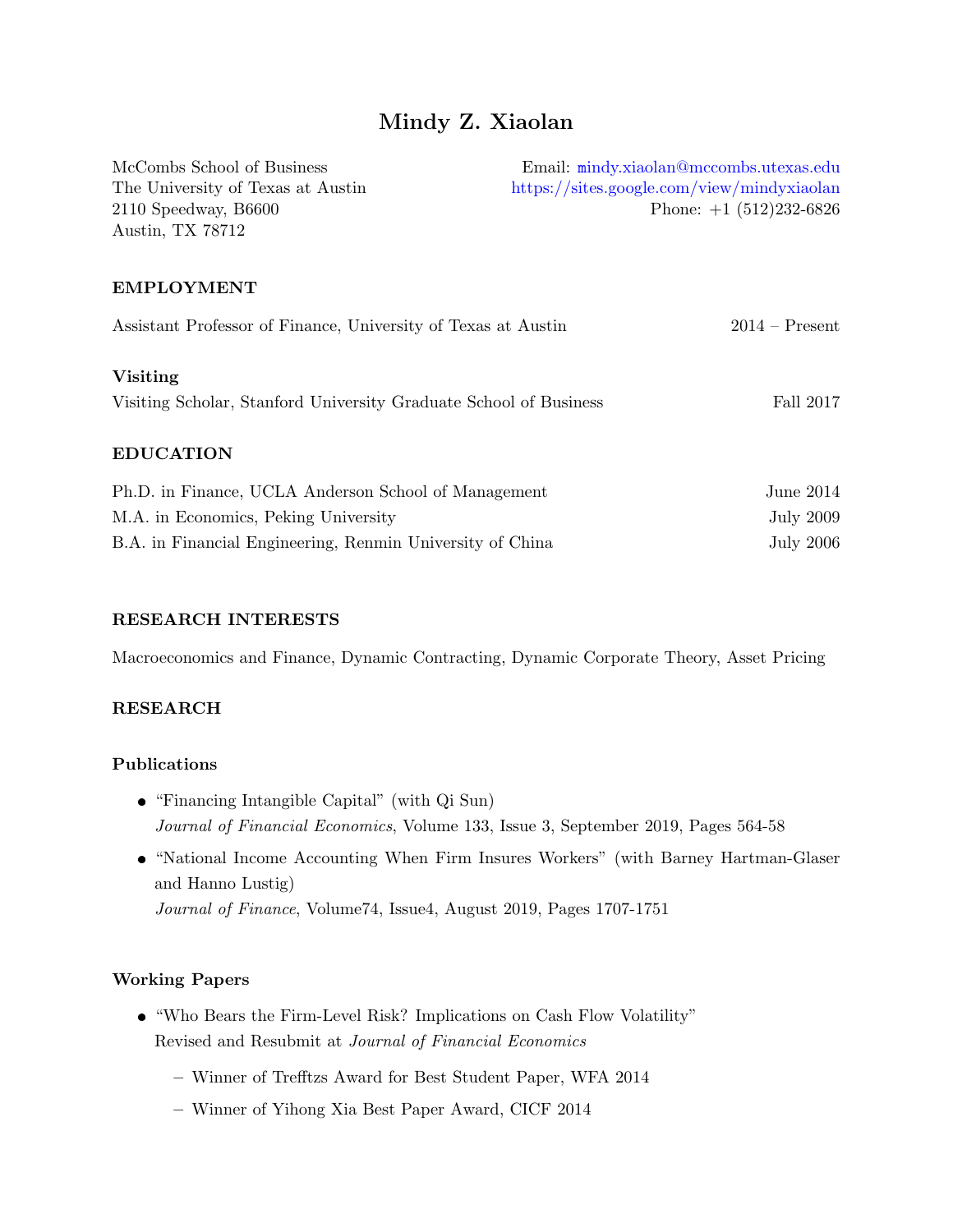# Mindy Z. Xiaolan

| McCombs School of Business                                        | Email: mindy.xiaolan@mccombs.utexas.edu    |
|-------------------------------------------------------------------|--------------------------------------------|
| The University of Texas at Austin                                 | https://sites.google.com/view/mindyxiaolan |
| $2110$ Speedway, B6600                                            | Phone: $+1$ (512)232-6826                  |
| Austin, TX 78712                                                  |                                            |
|                                                                   |                                            |
| <b>EMPLOYMENT</b>                                                 |                                            |
| Assistant Professor of Finance, University of Texas at Austin     | $2014 -$ Present                           |
| <b>Visiting</b>                                                   |                                            |
| Visiting Scholar, Stanford University Graduate School of Business | Fall 2017                                  |
| <b>EDUCATION</b>                                                  |                                            |
| Ph.D. in Finance, UCLA Anderson School of Management              | June $2014$                                |
| M.A. in Economics, Peking University                              | July 2009                                  |
| B.A. in Financial Engineering, Renmin University of China         | <b>July 2006</b>                           |

### RESEARCH INTERESTS

Macroeconomics and Finance, Dynamic Contracting, Dynamic Corporate Theory, Asset Pricing

### RESEARCH

#### Publications

- "Financing Intangible Capital" (with Qi Sun) *Journal of Financial Economics*, Volume 133, Issue 3, September 2019, Pages 564-58
- "National Income Accounting When Firm Insures Workers" (with Barney Hartman-Glaser and Hanno Lustig)

*Journal of Finance*, Volume74, Issue4, August 2019, Pages 1707-1751

### Working Papers

- "Who Bears the Firm-Level Risk? Implications on Cash Flow Volatility" Revised and Resubmit at *Journal of Financial Economics*
	- Winner of Trefftzs Award for Best Student Paper, WFA 2014
	- Winner of Yihong Xia Best Paper Award, CICF 2014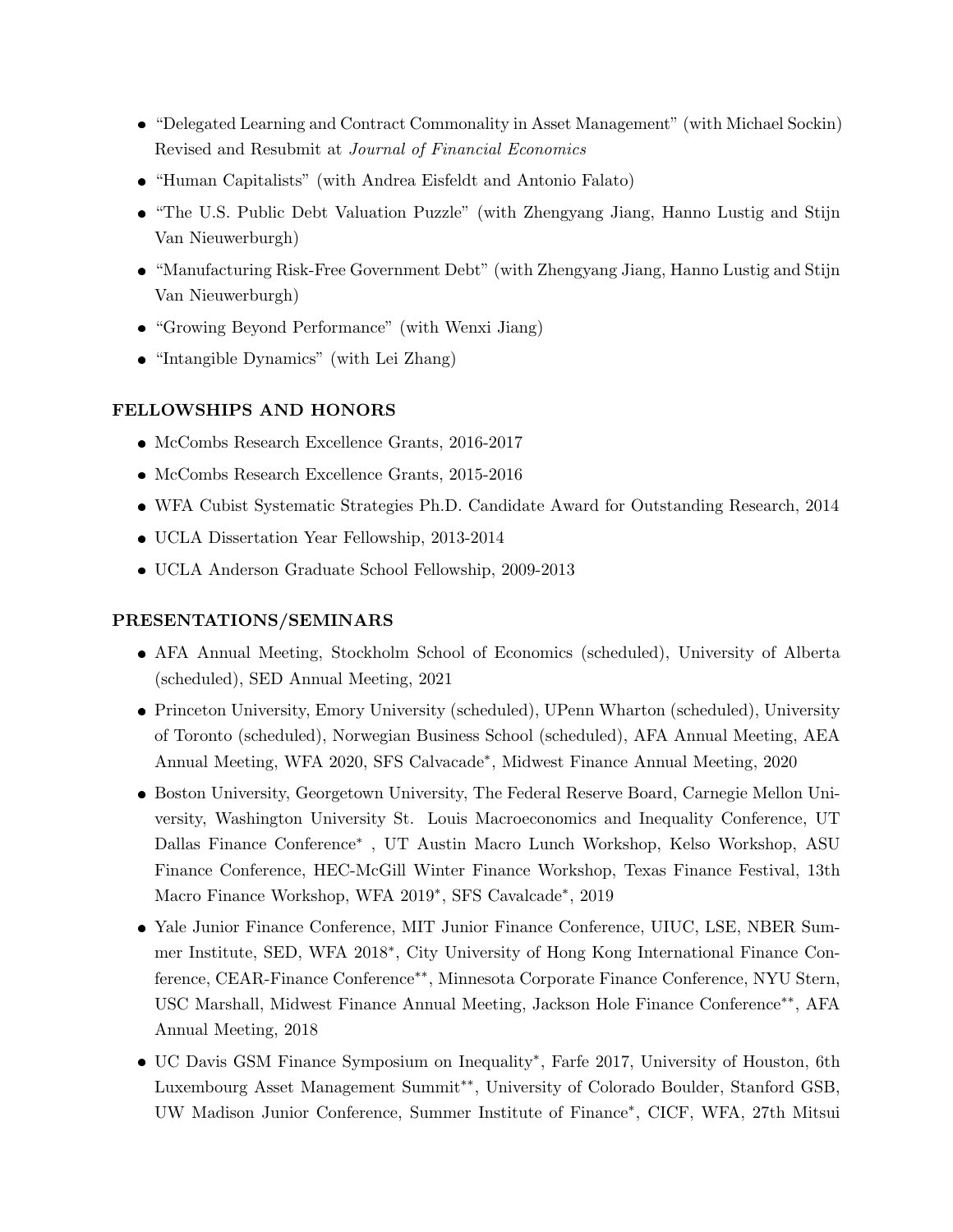- "Delegated Learning and Contract Commonality in Asset Management" (with Michael Sockin) Revised and Resubmit at *Journal of Financial Economics*
- "Human Capitalists" (with Andrea Eisfeldt and Antonio Falato)
- "The U.S. Public Debt Valuation Puzzle" (with Zhengyang Jiang, Hanno Lustig and Stijn Van Nieuwerburgh)
- "Manufacturing Risk-Free Government Debt" (with Zhengyang Jiang, Hanno Lustig and Stijn Van Nieuwerburgh)
- "Growing Beyond Performance" (with Wenxi Jiang)
- "Intangible Dynamics" (with Lei Zhang)

# FELLOWSHIPS AND HONORS

- McCombs Research Excellence Grants, 2016-2017
- McCombs Research Excellence Grants, 2015-2016
- WFA Cubist Systematic Strategies Ph.D. Candidate Award for Outstanding Research, 2014
- UCLA Dissertation Year Fellowship, 2013-2014
- UCLA Anderson Graduate School Fellowship, 2009-2013

## PRESENTATIONS/SEMINARS

- AFA Annual Meeting, Stockholm School of Economics (scheduled), University of Alberta (scheduled), SED Annual Meeting, 2021
- Princeton University, Emory University (scheduled), UPenn Wharton (scheduled), University of Toronto (scheduled), Norwegian Business School (scheduled), AFA Annual Meeting, AEA Annual Meeting, WFA 2020, SFS Calvacade<sup>\*</sup>, Midwest Finance Annual Meeting, 2020
- Boston University, Georgetown University, The Federal Reserve Board, Carnegie Mellon University, Washington University St. Louis Macroeconomics and Inequality Conference, UT Dallas Finance Conference<sup>\*</sup>, UT Austin Macro Lunch Workshop, Kelso Workshop, ASU Finance Conference, HEC-McGill Winter Finance Workshop, Texas Finance Festival, 13th Macro Finance Workshop, WFA 2019<sup>\*</sup>, SFS Cavalcade<sup>\*</sup>, 2019
- Yale Junior Finance Conference, MIT Junior Finance Conference, UIUC, LSE, NBER Summer Institute, SED, WFA 2018<sup>\*</sup>, City University of Hong Kong International Finance Conference, CEAR-Finance Conference<sup>\*</sup>\*, Minnesota Corporate Finance Conference, NYU Stern, USC Marshall, Midwest Finance Annual Meeting, Jackson Hole Finance Conference<sup>\*\*</sup>, AFA Annual Meeting, 2018
- UC Davis GSM Finance Symposium on Inequality<sup>\*</sup>, Farfe 2017, University of Houston, 6th Luxembourg Asset Management Summit<sup>\*\*</sup>, University of Colorado Boulder, Stanford GSB, UW Madison Junior Conference, Summer Institute of Finance<sup>\*</sup>, CICF, WFA, 27th Mitsui